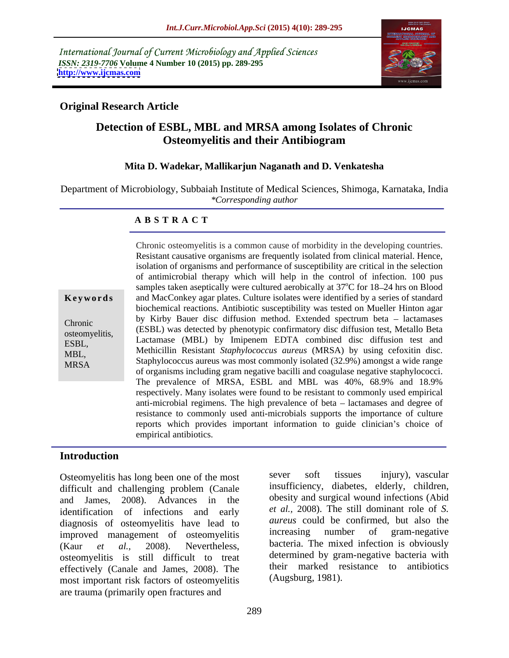International Journal of Current Microbiology and Applied Sciences *ISSN: 2319-7706* **Volume 4 Number 10 (2015) pp. 289-295 <http://www.ijcmas.com>**



## **Original Research Article**

# **Detection of ESBL, MBL and MRSA among Isolates of Chronic Osteomyelitis and their Antibiogram**

### **Mita D. Wadekar, Mallikarjun Naganath and D. Venkatesha**

Department of Microbiology, Subbaiah Institute of Medical Sciences, Shimoga, Karnataka, India *\*Corresponding author*

### **A B S T R A C T**

MRSA

Resistant causative organisms are frequently isolated from clinical material. Hence, isolation of organisms and performance of susceptibility are critical in the selection of antimicrobial therapy which will help in the control of infection. 100 pus samples taken aseptically were cultured aerobically at 37<sup>o</sup>C for 18–24 hrs on Blood <sup>o</sup>C for 18–24 hrs on Blood and MacConkey agar plates. Culture isolates were identified by a series of standard **Ke ywo rds** biochemical reactions. Antibiotic susceptibility was tested on Mueller Hinton agar by Kirby Bauer disc diffusion method. Extended spectrum beta - lactamases Chronic<br>
(ESBL) was detected by phenotypic confirmatory disc diffusion test, Metallo Beta osteomyelitis, (ESBL) was detected by phenotypic committatory disc diffusion test, inetailo Beta<br>EXRI Lactamase (MBL) by Imipenem EDTA combined disc diffusion test and Methicillin Resistant *Staphylococcus aureus* (MRSA) by using cefoxitin disc. MBL,<br>MBCA Staphylococcus aureus was most commonly isolated  $(32.9%)$  amongst a wide range of organisms including gram negative bacilli and coagulase negative staphylococci. The prevalence of MRSA, ESBL and MBL was 40%, 68.9% and 18.9% respectively. Many isolates were found to be resistant to commonly used empirical anti-microbial regimens. The high prevalence of beta – lactamases and degree of resistance to commonly used anti-microbials supports the importance of culture reports which provides important information to guide clinician's choice of empirical antibiotics. ESBL, Lactamase (MBL) by imperion EDTA combined this unitsion lest and

Chronic osteomyelitis is a common cause of morbidity in thedeveloping countries.

### **Introduction**

difficult and challenging problem (Canale and James, 2008). Advances in the obesity and surgical wound infections (Abid identification of infections and early diagnosis of osteomyelitis have lead to *aureus* could be confirmed, but also the improved management of osteomyelitis increasing number of gram-negative improved management of osteomyelitis (Kaur *et al.,* 2008). Nevertheless, bacteria. The mixed infection is obviously osteomyelitis is still difficult to treat effectively (Canale and James, 2008). The most important risk factors of osteomyelitis are trauma (primarily open fractures and

Osteomyelitis has long been one of the most sever soft tissues injury), vascular sever soft tissues injury), vascular insufficiency, diabetes, elderly, children, *et al.,* 2008). The still dominant role of *S. aureus* could be confirmed, but also the increasing number of gram-negative determined by gram-negative bacteria with their marked resistance to antibiotics (Augsburg, 1981).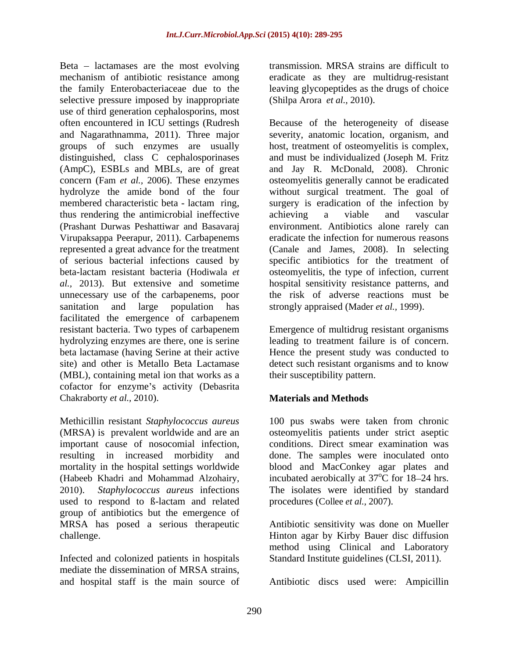Beta  $-$  lactamases are the most evolving mechanism of antibiotic resistance among eradicate as they are multidrug-resistant the family Enterobacteriaceae due to the leaving glycopeptides as the drugs of choice selective pressure imposed by inappropriate use of third generation cephalosporins, most distinguished, class C cephalosporinases (AmpC), ESBLs and MBLs, are of great thus rendering the antimicrobial ineffective achieving a viable and vascular unnecessary use of the carbapenems, poor sanitation and large population has facilitated the emergence of carbapenem resistant bacteria. Two types of carbapenem Emergence of multidrug resistant organisms hydrolyzing enzymes are there, one is serine beta lactamase (having Serine at their active Hence the present study was conducted to site) and other is Metallo Beta Lactamase detect such resistant organisms and to know (MBL), containing metal ion that works as a cofactor for enzyme's activity (Debasrita

(MRSA) is prevalent worldwide and are an osteomyelitis patients under strict aseptic important cause of nosocomial infection, conditions. Direct smear examination was resulting in increased morbidity and done. The samples were inoculated onto mortality in the hospital settings worldwide<br>(Habeeb Khadri and Mohammad Alzohairy, (Habeeb Khadri and Mohammad Alzohairy, 2010). *Staphylococcus aureus* infections used to respond to ß-lactam and related group of antibiotics but the emergence of MRSA has posed a serious therapeutic Antibiotic sensitivity was done on Mueller

Infected and colonized patients in hospitals mediate the dissemination of MRSA strains,

transmission. MRSA strains are difficult to (Shilpa Arora *et al.,* 2010).

often encountered in ICU settings (Rudresh Because of the heterogeneity of disease and Nagarathnamma, 2011). Three major severity, anatomic location, organism, and groups of such enzymes are usually host, treatment of osteomyelitis is complex, concern (Fam *et al.,* 2006). These enzymes osteomyelitis generally cannot be eradicated hydrolyze the amide bond of the four without surgical treatment.The goal of membered characteristic beta - lactam ring, surgery is eradication of the infection by (Prashant Durwas Peshattiwar and Basavaraj environment. Antibiotics alone rarely can Virupaksappa Peerapur, 2011). Carbapenems eradicate the infection for numerous reasons represented a great advance for the treatment (Canale and James, 2008). In selecting of serious bacterial infections caused by specific antibiotics for the treatment of beta-lactam resistant bacteria (Hodiwala *et*  osteomyelitis, the type of infection, current *al.,* 2013). But extensive and sometime hospital sensitivity resistance patterns, and and must be individualized (Joseph M. Fritz and Jay R. McDonald, 2008). Chronic achieving a viable and vascular the risk of adverse reactions must be strongly appraised (Mader *et al.,* 1999).

> leading to treatment failure is of concern. their susceptibility pattern.

# **Materials and Methods**

Chakraborty *et al.*, 2010).<br>Methicillin resistant *Staphylococcus aureus* 100 pus swabs were taken from chronic 100 pus swabs were taken from chronic blood and MacConkey agar plates and incubated aerobically at 37<sup>o</sup>C for 18–24 hrs.  $\rm ^{o}C$  for 18–24 hrs. The isolates were identified by standard procedures (Collee *et al.,* 2007).

challenge. Hinton agar by Kirby Bauer disc diffusion method using Clinical and Laboratory Standard Institute guidelines (CLSI, 2011).

and hospital staff is the main source of Antibiotic discs used were: Ampicillin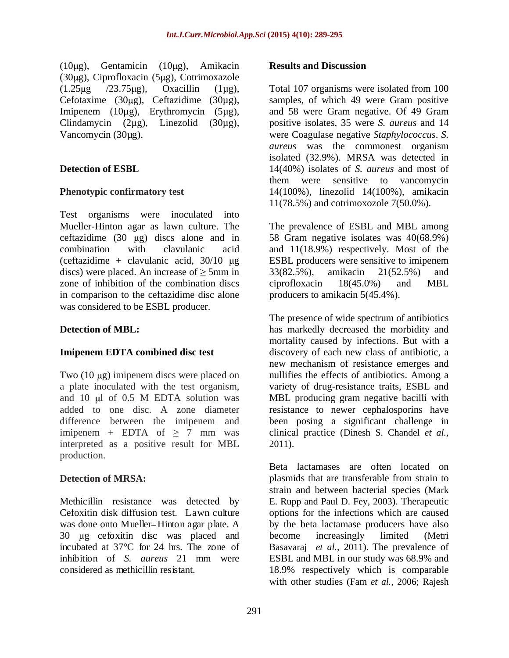$(10\mu g)$ , Gentamicin  $(10\mu g)$ , Amikacin **Results and Discussion**  $(30\mu g)$ , Ciprofloxacin  $(5\mu g)$ , Cotrimoxazole  $(1.25 \mu g$  /23.75 $\mu$ g), Oxacillin (1 $\mu$ g), Total 107 organisms were isolated from 100 Cefotaxime (30 $\mu$ g), Ceftazidime (30 $\mu$ g), Imipenem (10µg), Erythromycin (5µg), and 58 were Gram negative. Of 49 Gram

Test organisms were inoculated into Mueller-Hinton agar as lawn culture. The ceftazidime  $(30 \text{ }\mu\text{g})$  discs alone and in 58 Gram negative isolates was  $40(68.9\%)$ combination with clavulanic acid and 11(18.9%) respectively. Most of the (ceftazidime  $+$  clavulanic acid,  $30/10$   $\mu$ g ESBL producers were sensitive to imipenem discs) were placed. An increase of  $\geq 5$ mm in 33(82.5%), amikacin 21(52.5%) and zone of inhibition of the combination discs ciprofloxacin 18(45.0%) and MBL in comparison to the ceftazidime disc alone was considered to be ESBL producer.

interpreted as a positive result for MBL 2011). production.

30 µg cefoxitin disc was placed and become increasingly limited (Metri

Clindamycin (2µg), Linezolid (30µg), positive isolates, 35 were *S. aureus* and 14 Vancomycin (30µg). were Coagulase negative *Staphylococcus*. *S.*  **Detection of ESBL** 14(40%) isolates of *S. aureus* and most of **Phenotypic confirmatory test** 14(100%), linezolid 14(100%), amikacin Total 107 organisms were isolated from 100 samples, of which 49 were Gram positive and 58 were Gram negative. Of 49 Gram *aureus* was the commonest organism isolated (32.9%). MRSA was detected in them were sensitive to vancomycin 11(78.5%) and cotrimoxozole 7(50.0%).

> The prevalence of ESBL and MBL among 33(82.5%), amikacin 21(52.5%) and ciprofloxacin 18(45.0%) and MBL producers to amikacin 5(45.4%).

**Detection of MBL:** has markedly decreased the morbidity and **Imipenem EDTA combined disc test** discovery of each new class of antibiotic, a Two (10 µg) imipenem discs were placed on hullifies the effects of antibiotics. Among a a plate inoculated with the test organism, variety of drug-resistance traits, ESBL and and 10 µl of 0.5 M EDTA solution was MBL producing gram negative bacilli with added to one disc. A zone diameter resistance to newer cephalosporins have difference between the imipenem and been posing a significant challenge in  $\text{imipenem} + \text{EDTA} \quad \text{of} \geq 7 \quad \text{mm} \quad \text{was} \qquad \text{clinical practice (Dinesh S. Chandel et al.,})$ considered as methicillin resistant. **Results and Discussion** The presence of wide spectrum of antibiotics mortality caused by infections. But with a new mechanism of resistance emerges and MBL producing gram negative bacilli with

**Detection of MRSA:** plasmids that are transferable from strain to Methicillin resistance was detected by E. Rupp and Paul D. Fey, 2003). Therapeutic Cefoxitin disk diffusion test. Lawn culture options for the infections which are caused was done onto Mueller–Hinton agar plate. A by the beta lactamase producers have also incubated at 37°C for 24 hrs. The zone of Basavaraj *et al.,* 2011). The prevalence of inhibition of *S. aureus* 21 mm were 2011).<br>Beta lactamases are often located on strain and between bacterial species (Mark become increasingly limited (Metri ESBL and MBL in our study was 68.9% and 18.9% respectively which is comparable with other studies (Fam *et al.,* 2006; Rajesh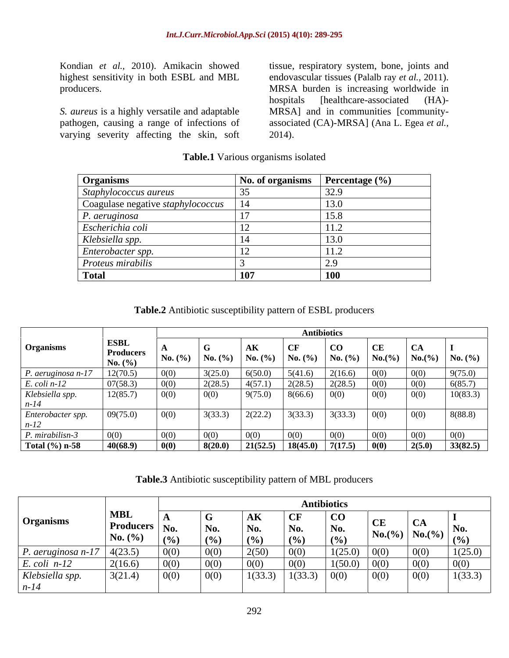highest sensitivity in both ESBL and MBL

pathogen, causing a range of infections of varying severity affecting the skin, soft

Kondian *et al.,* 2010). Amikacin showed tissue, respiratory system, bone, joints and producers. MRSA burden is increasing worldwide in S. *aureus* is a highly versatile and adaptable MRSA] and in communities [communityendovascular tissues (Palalb ray *et al.,* 2011). hospitals [healthcare-associated (HA) associated (CA)-MRSA] (Ana L. Egea *et al.,* 2014).

| <b>Organisms</b>                  | No. of organisms | Percentage $(\% )$ |
|-----------------------------------|------------------|--------------------|
| Staphylococcus aureus             |                  | 320<br>ر . __      |
| Coagulase negative staphylococcus |                  | 13.0               |
| P. aeruginosa                     |                  | 15.8               |
| Escherichia coli                  |                  | 11.Z               |
| Klebsiella spp.                   |                  | 13.0               |
| Enterobacter spp.                 |                  | .                  |
| Proteus mirabilis                 |                  |                    |
| <b>Total</b>                      | 107              | <b>100</b>         |

### **Table.1** Various organisms isolated

**Table.2** Antibiotic susceptibility pattern of ESBL producers

|                            |                    |        | <b>Antibiotics</b> |                                   |         |              |             |        |                                                                                         |  |  |
|----------------------------|--------------------|--------|--------------------|-----------------------------------|---------|--------------|-------------|--------|-----------------------------------------------------------------------------------------|--|--|
| <b>Organisms</b>           | <b>ESBL</b>        |        |                    |                                   | + CF    | 1 CO         | CE          | UA.    |                                                                                         |  |  |
|                            | <b>Producers</b>   |        |                    |                                   |         |              |             |        | No. (%)   No. (%)   No. (%)   No. (%)   No. (%)   No. (%)   No. (%)   No. (%)   No. (%) |  |  |
|                            | <b>No.</b> $(\% )$ |        |                    |                                   |         |              |             |        |                                                                                         |  |  |
| P. aeruginosa n-17         | 12(70.5)           | 00 O   |                    | 6(50.0)                           | 5(41.6) | 2(16.6)      | 0(0)        |        | 9(75.0)                                                                                 |  |  |
| $E.$ coli $n-12$           | 07(58.3)           | (1)(1) | 2(28.5)            | 4(57.1)                           | 2(28.5) | 2(28.5)      | 0(0)        | 0(0)   |                                                                                         |  |  |
| Klebsiella spp.            | 12(85.7            | 10(0)  | 0(0)               | 9(75.0)                           | 8(66.6) | 0(0)         | 0(0)        | 0(0)   | $\frac{6(85.7)}{10(83.3)}$                                                              |  |  |
| $n-14$                     |                    |        |                    |                                   |         |              |             |        |                                                                                         |  |  |
| Enterobacter spp.          | 09(75.0)           | 0(0)   | 3(33.3)            | 2(22.2)                           | 3(33.3) | 3(33.3)      | 0(0)        | 0(0)   | 8(88.8)                                                                                 |  |  |
| $n-12$                     |                    |        |                    |                                   |         |              |             |        |                                                                                         |  |  |
| P. mirabilisn-3            | 0(0)               | (1)(1) | 0(0)               |                                   | 0(0)    | $\Omega$ (0) | 0(0)        | 00     |                                                                                         |  |  |
| Total $(\frac{6}{6})$ n-58 | 40(68.9)           |        | 8(20.0)            | $\vert$ 21(52.5) $\vert$ 18(45.0) |         | 7(17.5)      | $\mid 0(0)$ | 2(5.0) | 33(82.5)                                                                                |  |  |

**Table.3** Antibiotic susceptibility pattern of MBL producers

|                    |                             |        |       |         |              | <b>Antibiotics</b>    |                                                   |              |         |
|--------------------|-----------------------------|--------|-------|---------|--------------|-----------------------|---------------------------------------------------|--------------|---------|
|                    | <b>MBL</b>                  |        | 1 A T | ALL.    | $\Gamma$     | $\overline{\text{C}}$ |                                                   |              |         |
| Organisms          | $\mid$ Producers $\mid$ No. |        | No.   | No.     | No.          | No.                   | $\mathbf{CE}$                                     | $\mathbf{A}$ | No.     |
|                    | $\mathbf{N_0}$ . $(\% )$    | $($ %) | (9/6) | (9/0)   | (9/0)        | (%)                   | $\big $ No.(%) $\big $ No.(%) $\big _{(96)}^{NQ}$ |              |         |
| P. aeruginosa n-1, | 7 4(23.5)                   |        | 0(0)  | 2(50)   | OC C         | (25.0)                | 0(0)                                              | 0(0)         | 1(25.0) |
| $E.$ coli $n-12$   | 2(16.6)                     |        | 000   | 0(0)    | 0(0)         | 1(50.0)               | 0(0)                                              | 0(0)         |         |
| Klebsiella spp.    | 3(21.4)                     | 0(0)   | 0(0)  | 1(33.3) | 1(33.3) 0(0) |                       | $\boxed{0(0)}$                                    | 0(0)         | 1(33.3) |
|                    |                             |        |       |         |              |                       |                                                   |              |         |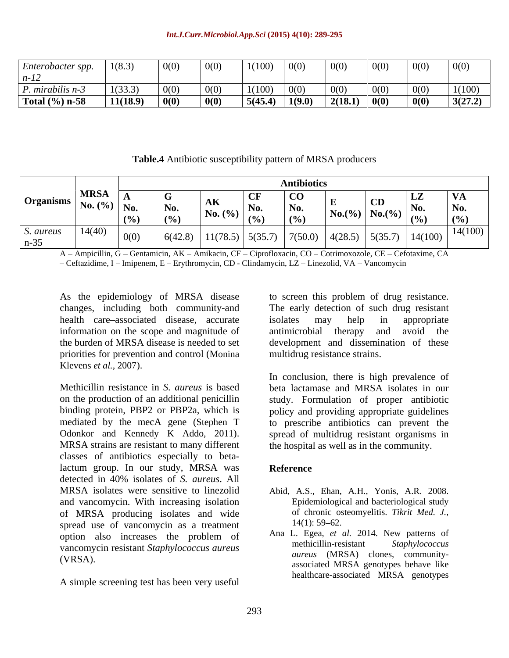| Enterobacter spp.                  | 1(8.3)   | 0(0) | 0(0)                     | 1(100)  | 0(0)   | 0(0)    | 0(0) | 0(0) | 0(0)    |
|------------------------------------|----------|------|--------------------------|---------|--------|---------|------|------|---------|
| $n-1$                              |          |      |                          |         |        |         |      |      |         |
| $1 \cdot 1 \cdot$<br>mırabilis n-3 | 1(33.3)  | 0(0) | 0(0)                     | 1(100)  | 0(0)   | 0(0)    | 0(0) | 0(0) | 1(100)  |
| Total $(\% )$ n-58                 | 11(18.9) | 0(0) | $\mathbf{0}(\mathbf{0})$ | 5(45.4) | 1(9.0) | 2(18.1) | 0(0) | 0(0) | 3(27.2) |

**Table.4** Antibiotic susceptibility pattern of MRSA producers

|                                                     | <b>MRSA</b> | I Gr     | $\sim$ $\sim$ | CO                   |           |                                        | $\mathbf{I}$ $\mathbf{I}$<br>- 177 |                 |  |
|-----------------------------------------------------|-------------|----------|---------------|----------------------|-----------|----------------------------------------|------------------------------------|-----------------|--|
| $\sum_{n=1}^{\infty}$ Mo. (%) $\sum_{n=1}^{\infty}$ |             |          | AK            | .<br>l No<br>∣ ⊥ \∪≀ | $No.(\%)$ |                                        | No.                                | N<br><b>IVU</b> |  |
|                                                     |             | (0/2)    | $N0. ( \% )$  | (0/                  |           | $\left  \text{No.}(\%)\right _{(0/3)}$ | $\sqrt{20}$                        |                 |  |
| S. aureus                                           |             | (6(42.8) | 5(35.7)       | 17(50.0)             | 4(28.5)   | 5(35.7)                                | 14(100)                            | 14(100)         |  |
| $n-35$                                              |             |          | 1(78.5)       |                      |           |                                        |                                    |                 |  |

A - Ampicillin, G - Gentamicin, AK - Amikacin, CF - Ciprofloxacin, CO - Cotrimoxozole, CE - Cefotaxime, CA - Ceftazidime, I - Imipenem, E - Erythromycin, CD - Clindamycin, LZ - Linezolid, VA - Vancomycin

health care associated disease, accurate isolates may help in appropriate information on the scope and magnitude of antimicrobial therapy and avoid the priorities for prevention and control (Monina

on the production of an additional penicillin study. Formulation of proper antibiotic binding protein, PBP2 or PBP2a, which is policy and providing appropriate guidelines mediated by the mecA gene (Stephen T to prescribe antibiotics can prevent the Odonkor and Kennedy K Addo, 2011). Spread of multidrug resistant organisms in MRSA strains are resistant to many different the hospital as well as in the community. classes of antibiotics especially to betalactum group. In our study, MRSA was Reference detected in 40% isolates of *S. aureus*. All MRSA isolates were sensitive to linezolid Abid, A.S., Ehan, A.H., Yonis, A.R. 2008. and vancomycin. With increasing isolation of MRSA producing isolates and wide<br>spread use of vancomucin as a treatment  $14(1): 59-62$ . spread use of vancomycin as a treatment option also increases the problem of Ana L. Egea, et al. 2014. New patterns of methicillin-resistant Staphylococcus vancomycin resistant *Staphylococcus aureus*

A simple screening test has been very useful

As the epidemiology of MRSA disease to screen this problem of drug resistance. changes, including both community-and The early detection of such drug resistant the burden of MRSA disease is needed to set development and dissemination of these isolates may help in appropriate antimicrobial therapy and multidrug resistance strains.

Klevens *et al.*, 2007).<br>Methicillin resistance in *S. aureus* is based beta lactamase and MRSA isolates in our In conclusion, there is high prevalence of beta lactamase and MRSA isolates in our spread of multidrug resistant organisms in the hospital as well as in the community.

## **Reference**

- Epidemiological and bacteriological study of chronic osteomyelitis. *Tikrit Med. J.,*  $14(1)$ : 59–62.
- (VRSA). associated MRSA genotypes behave like Ana L. Egea, *et al.* 2014. New patterns of methicillin-resistant *Staphylococcus aureus* (MRSA) clones, community healthcare-associated MRSA genotypes